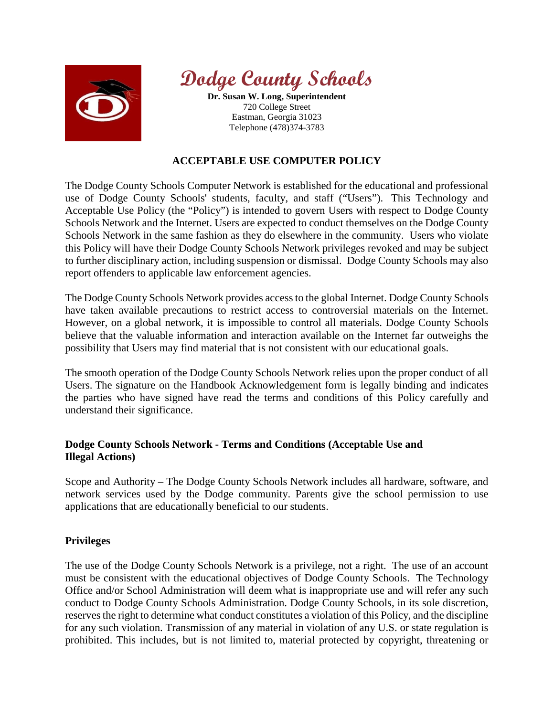



**Dr. Susan W. Long, Superintendent** 720 College Street Eastman, Georgia 31023 Telephone (478)374-3783

# **ACCEPTABLE USE COMPUTER POLICY**

The Dodge County Schools Computer Network is established for the educational and professional use of Dodge County Schools' students, faculty, and staff ("Users"). This Technology and Acceptable Use Policy (the "Policy") is intended to govern Users with respect to Dodge County Schools Network and the Internet. Users are expected to conduct themselves on the Dodge County Schools Network in the same fashion as they do elsewhere in the community. Users who violate this Policy will have their Dodge County Schools Network privileges revoked and may be subject to further disciplinary action, including suspension or dismissal. Dodge County Schools may also report offenders to applicable law enforcement agencies.

The Dodge County Schools Network provides access to the global Internet. Dodge County Schools have taken available precautions to restrict access to controversial materials on the Internet. However, on a global network, it is impossible to control all materials. Dodge County Schools believe that the valuable information and interaction available on the Internet far outweighs the possibility that Users may find material that is not consistent with our educational goals.

The smooth operation of the Dodge County Schools Network relies upon the proper conduct of all Users. The signature on the Handbook Acknowledgement form is legally binding and indicates the parties who have signed have read the terms and conditions of this Policy carefully and understand their significance.

# **Dodge County Schools Network - Terms and Conditions (Acceptable Use and Illegal Actions)**

Scope and Authority – The Dodge County Schools Network includes all hardware, software, and network services used by the Dodge community. Parents give the school permission to use applications that are educationally beneficial to our students.

# **Privileges**

The use of the Dodge County Schools Network is a privilege, not a right. The use of an account must be consistent with the educational objectives of Dodge County Schools. The Technology Office and/or School Administration will deem what is inappropriate use and will refer any such conduct to Dodge County Schools Administration. Dodge County Schools, in its sole discretion, reserves the right to determine what conduct constitutes a violation of this Policy, and the discipline for any such violation. Transmission of any material in violation of any U.S. or state regulation is prohibited. This includes, but is not limited to, material protected by copyright, threatening or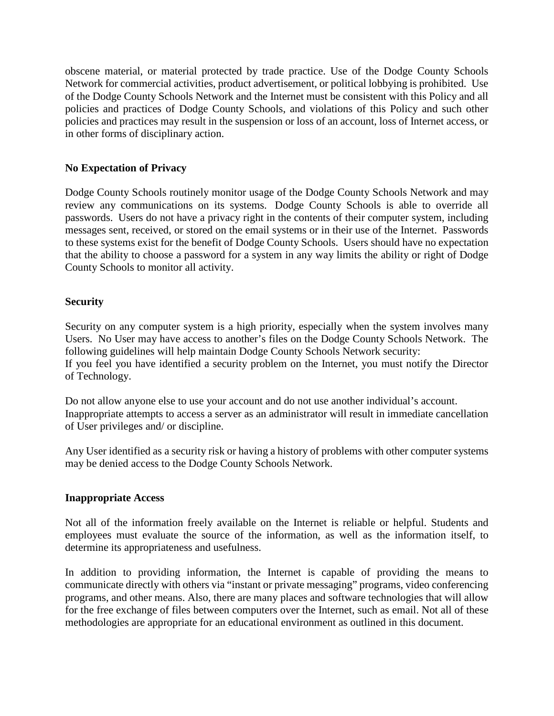obscene material, or material protected by trade practice. Use of the Dodge County Schools Network for commercial activities, product advertisement, or political lobbying is prohibited. Use of the Dodge County Schools Network and the Internet must be consistent with this Policy and all policies and practices of Dodge County Schools, and violations of this Policy and such other policies and practices may result in the suspension or loss of an account, loss of Internet access, or in other forms of disciplinary action.

### **No Expectation of Privacy**

Dodge County Schools routinely monitor usage of the Dodge County Schools Network and may review any communications on its systems. Dodge County Schools is able to override all passwords. Users do not have a privacy right in the contents of their computer system, including messages sent, received, or stored on the email systems or in their use of the Internet. Passwords to these systems exist for the benefit of Dodge County Schools. Users should have no expectation that the ability to choose a password for a system in any way limits the ability or right of Dodge County Schools to monitor all activity.

#### **Security**

Security on any computer system is a high priority, especially when the system involves many Users. No User may have access to another's files on the Dodge County Schools Network. The following guidelines will help maintain Dodge County Schools Network security: If you feel you have identified a security problem on the Internet, you must notify the Director of Technology.

Do not allow anyone else to use your account and do not use another individual's account. Inappropriate attempts to access a server as an administrator will result in immediate cancellation of User privileges and/ or discipline.

Any User identified as a security risk or having a history of problems with other computer systems may be denied access to the Dodge County Schools Network.

#### **Inappropriate Access**

Not all of the information freely available on the Internet is reliable or helpful. Students and employees must evaluate the source of the information, as well as the information itself, to determine its appropriateness and usefulness.

In addition to providing information, the Internet is capable of providing the means to communicate directly with others via "instant or private messaging" programs, video conferencing programs, and other means. Also, there are many places and software technologies that will allow for the free exchange of files between computers over the Internet, such as email. Not all of these methodologies are appropriate for an educational environment as outlined in this document.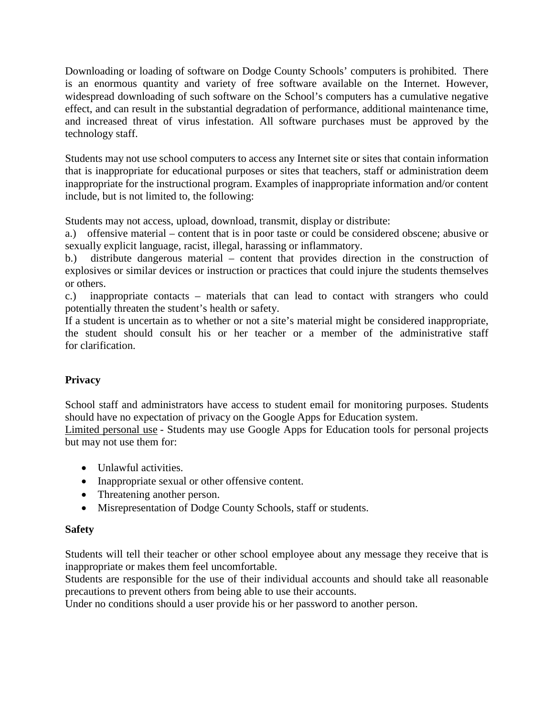Downloading or loading of software on Dodge County Schools' computers is prohibited. There is an enormous quantity and variety of free software available on the Internet. However, widespread downloading of such software on the School's computers has a cumulative negative effect, and can result in the substantial degradation of performance, additional maintenance time, and increased threat of virus infestation. All software purchases must be approved by the technology staff.

Students may not use school computers to access any Internet site or sites that contain information that is inappropriate for educational purposes or sites that teachers, staff or administration deem inappropriate for the instructional program. Examples of inappropriate information and/or content include, but is not limited to, the following:

Students may not access, upload, download, transmit, display or distribute:

a.) offensive material – content that is in poor taste or could be considered obscene; abusive or sexually explicit language, racist, illegal, harassing or inflammatory.

b.) distribute dangerous material – content that provides direction in the construction of explosives or similar devices or instruction or practices that could injure the students themselves or others.

c.) inappropriate contacts – materials that can lead to contact with strangers who could potentially threaten the student's health or safety.

If a student is uncertain as to whether or not a site's material might be considered inappropriate, the student should consult his or her teacher or a member of the administrative staff for clarification.

# **Privacy**

School staff and administrators have access to student email for monitoring purposes. Students should have no expectation of privacy on the Google Apps for Education system.

Limited personal use - Students may use Google Apps for Education tools for personal projects but may not use them for:

- Unlawful activities.
- Inappropriate sexual or other offensive content.
- Threatening another person.
- Misrepresentation of Dodge County Schools, staff or students.

# **Safety**

Students will tell their teacher or other school employee about any message they receive that is inappropriate or makes them feel uncomfortable.

Students are responsible for the use of their individual accounts and should take all reasonable precautions to prevent others from being able to use their accounts.

Under no conditions should a user provide his or her password to another person.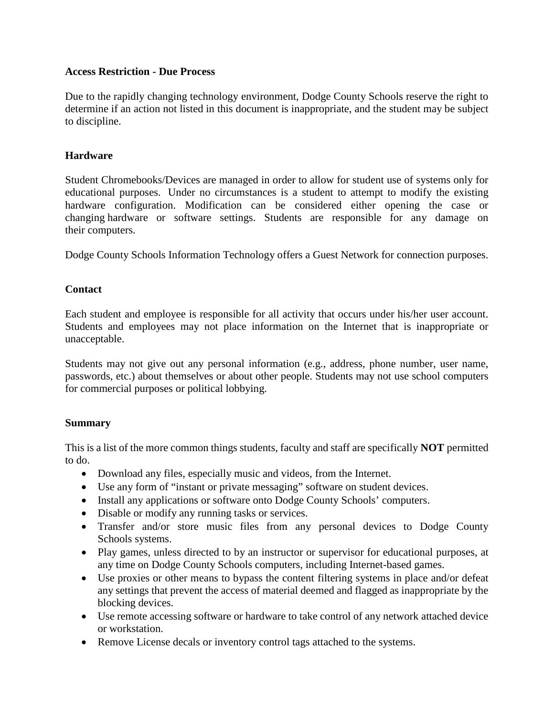### **Access Restriction - Due Process**

Due to the rapidly changing technology environment, Dodge County Schools reserve the right to determine if an action not listed in this document is inappropriate, and the student may be subject to discipline.

### **Hardware**

Student Chromebooks/Devices are managed in order to allow for student use of systems only for educational purposes. Under no circumstances is a student to attempt to modify the existing hardware configuration. Modification can be considered either opening the case or changing hardware or software settings. Students are responsible for any damage on their computers.

Dodge County Schools Information Technology offers a Guest Network for connection purposes.

### **Contact**

Each student and employee is responsible for all activity that occurs under his/her user account. Students and employees may not place information on the Internet that is inappropriate or unacceptable.

Students may not give out any personal information (e.g., address, phone number, user name, passwords, etc.) about themselves or about other people. Students may not use school computers for commercial purposes or political lobbying.

# **Summary**

This is a list of the more common things students, faculty and staff are specifically **NOT** permitted to do.

- Download any files, especially music and videos, from the Internet.
- Use any form of "instant or private messaging" software on student devices.
- Install any applications or software onto Dodge County Schools' computers.
- Disable or modify any running tasks or services.
- Transfer and/or store music files from any personal devices to Dodge County Schools systems.
- Play games, unless directed to by an instructor or supervisor for educational purposes, at any time on Dodge County Schools computers, including Internet-based games.
- Use proxies or other means to bypass the content filtering systems in place and/or defeat any settings that prevent the access of material deemed and flagged as inappropriate by the blocking devices.
- Use remote accessing software or hardware to take control of any network attached device or workstation.
- Remove License decals or inventory control tags attached to the systems.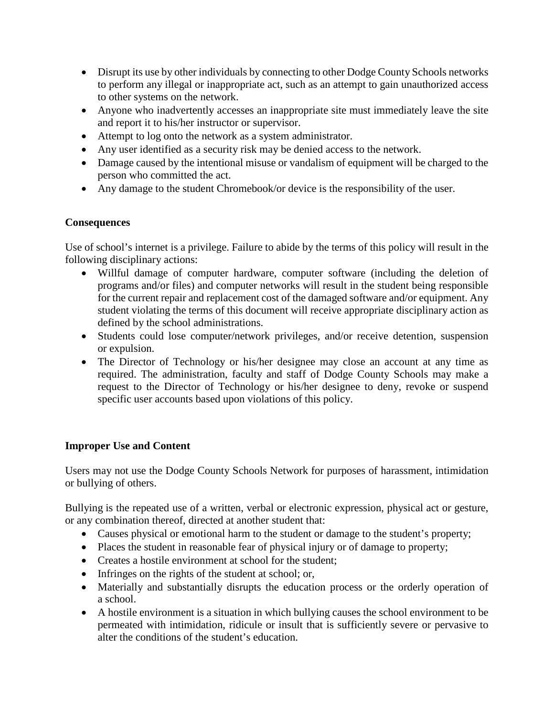- Disrupt its use by other individuals by connecting to other Dodge County Schools networks to perform any illegal or inappropriate act, such as an attempt to gain unauthorized access to other systems on the network.
- Anyone who inadvertently accesses an inappropriate site must immediately leave the site and report it to his/her instructor or supervisor.
- Attempt to log onto the network as a system administrator.
- Any user identified as a security risk may be denied access to the network.
- Damage caused by the intentional misuse or vandalism of equipment will be charged to the person who committed the act.
- Any damage to the student Chromebook/or device is the responsibility of the user.

# **Consequences**

Use of school's internet is a privilege. Failure to abide by the terms of this policy will result in the following disciplinary actions:

- Willful damage of computer hardware, computer software (including the deletion of programs and/or files) and computer networks will result in the student being responsible for the current repair and replacement cost of the damaged software and/or equipment. Any student violating the terms of this document will receive appropriate disciplinary action as defined by the school administrations.
- Students could lose computer/network privileges, and/or receive detention, suspension or expulsion.
- The Director of Technology or his/her designee may close an account at any time as required. The administration, faculty and staff of Dodge County Schools may make a request to the Director of Technology or his/her designee to deny, revoke or suspend specific user accounts based upon violations of this policy.

# **Improper Use and Content**

Users may not use the Dodge County Schools Network for purposes of harassment, intimidation or bullying of others.

Bullying is the repeated use of a written, verbal or electronic expression, physical act or gesture, or any combination thereof, directed at another student that:

- Causes physical or emotional harm to the student or damage to the student's property;
- Places the student in reasonable fear of physical injury or of damage to property;
- Creates a hostile environment at school for the student;
- Infringes on the rights of the student at school; or,
- Materially and substantially disrupts the education process or the orderly operation of a school.
- A hostile environment is a situation in which bullying causes the school environment to be permeated with intimidation, ridicule or insult that is sufficiently severe or pervasive to alter the conditions of the student's education.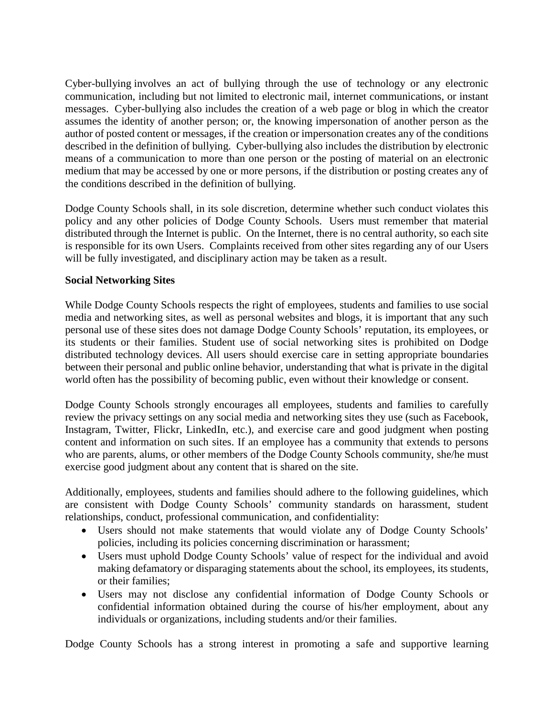Cyber-bullying involves an act of bullying through the use of technology or any electronic communication, including but not limited to electronic mail, internet communications, or instant messages. Cyber-bullying also includes the creation of a web page or blog in which the creator assumes the identity of another person; or, the knowing impersonation of another person as the author of posted content or messages, if the creation or impersonation creates any of the conditions described in the definition of bullying. Cyber-bullying also includes the distribution by electronic means of a communication to more than one person or the posting of material on an electronic medium that may be accessed by one or more persons, if the distribution or posting creates any of the conditions described in the definition of bullying.

Dodge County Schools shall, in its sole discretion, determine whether such conduct violates this policy and any other policies of Dodge County Schools. Users must remember that material distributed through the Internet is public. On the Internet, there is no central authority, so each site is responsible for its own Users. Complaints received from other sites regarding any of our Users will be fully investigated, and disciplinary action may be taken as a result.

### **Social Networking Sites**

While Dodge County Schools respects the right of employees, students and families to use social media and networking sites, as well as personal websites and blogs, it is important that any such personal use of these sites does not damage Dodge County Schools' reputation, its employees, or its students or their families. Student use of social networking sites is prohibited on Dodge distributed technology devices. All users should exercise care in setting appropriate boundaries between their personal and public online behavior, understanding that what is private in the digital world often has the possibility of becoming public, even without their knowledge or consent.

Dodge County Schools strongly encourages all employees, students and families to carefully review the privacy settings on any social media and networking sites they use (such as Facebook, Instagram, Twitter, Flickr, LinkedIn, etc.), and exercise care and good judgment when posting content and information on such sites. If an employee has a community that extends to persons who are parents, alums, or other members of the Dodge County Schools community, she/he must exercise good judgment about any content that is shared on the site.

Additionally, employees, students and families should adhere to the following guidelines, which are consistent with Dodge County Schools' community standards on harassment, student relationships, conduct, professional communication, and confidentiality:

- Users should not make statements that would violate any of Dodge County Schools' policies, including its policies concerning discrimination or harassment;
- Users must uphold Dodge County Schools' value of respect for the individual and avoid making defamatory or disparaging statements about the school, its employees, its students, or their families;
- Users may not disclose any confidential information of Dodge County Schools or confidential information obtained during the course of his/her employment, about any individuals or organizations, including students and/or their families.

Dodge County Schools has a strong interest in promoting a safe and supportive learning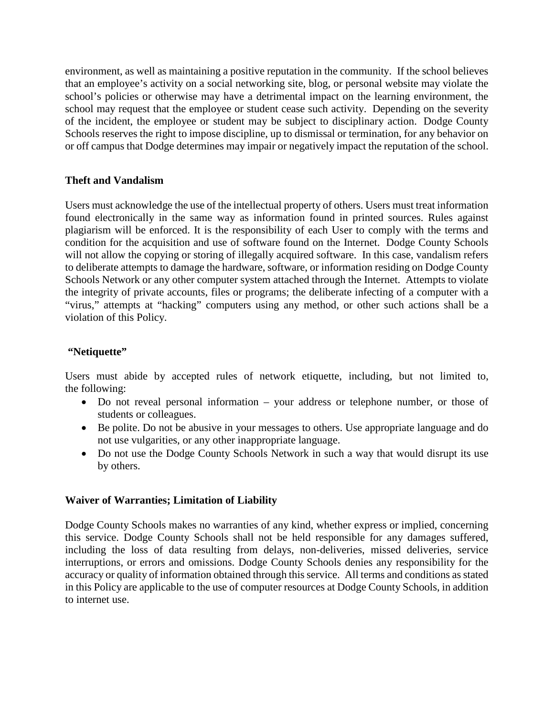environment, as well as maintaining a positive reputation in the community. If the school believes that an employee's activity on a social networking site, blog, or personal website may violate the school's policies or otherwise may have a detrimental impact on the learning environment, the school may request that the employee or student cease such activity. Depending on the severity of the incident, the employee or student may be subject to disciplinary action. Dodge County Schools reserves the right to impose discipline, up to dismissal or termination, for any behavior on or off campus that Dodge determines may impair or negatively impact the reputation of the school.

# **Theft and Vandalism**

Users must acknowledge the use of the intellectual property of others. Users must treat information found electronically in the same way as information found in printed sources. Rules against plagiarism will be enforced. It is the responsibility of each User to comply with the terms and condition for the acquisition and use of software found on the Internet. Dodge County Schools will not allow the copying or storing of illegally acquired software. In this case, vandalism refers to deliberate attempts to damage the hardware, software, or information residing on Dodge County Schools Network or any other computer system attached through the Internet. Attempts to violate the integrity of private accounts, files or programs; the deliberate infecting of a computer with a "virus," attempts at "hacking" computers using any method, or other such actions shall be a violation of this Policy.

### **"Netiquette"**

Users must abide by accepted rules of network etiquette, including, but not limited to, the following:

- Do not reveal personal information your address or telephone number, or those of students or colleagues.
- Be polite. Do not be abusive in your messages to others. Use appropriate language and do not use vulgarities, or any other inappropriate language.
- Do not use the Dodge County Schools Network in such a way that would disrupt its use by others.

# **Waiver of Warranties; Limitation of Liability**

Dodge County Schools makes no warranties of any kind, whether express or implied, concerning this service. Dodge County Schools shall not be held responsible for any damages suffered, including the loss of data resulting from delays, non-deliveries, missed deliveries, service interruptions, or errors and omissions. Dodge County Schools denies any responsibility for the accuracy or quality of information obtained through this service. All terms and conditions as stated in this Policy are applicable to the use of computer resources at Dodge County Schools, in addition to internet use.